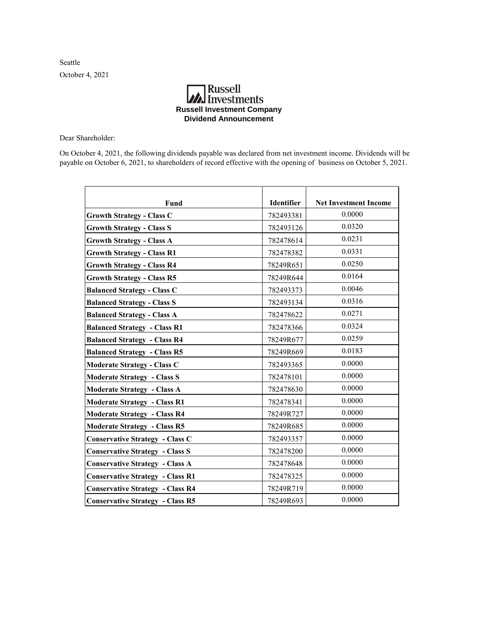Seattle October 4, 2021

## **MA**<br>Investments **Russell Investment Company Dividend Announcement**

Dear Shareholder:

On October 4, 2021, the following dividends payable was declared from net investment income. Dividends will be payable on October 6, 2021, to shareholders of record effective with the opening of business on October 5, 2021.

| Fund                                    | Identifier | <b>Net Investment Income</b> |
|-----------------------------------------|------------|------------------------------|
| <b>Growth Strategy - Class C</b>        | 782493381  | 0.0000                       |
| <b>Growth Strategy - Class S</b>        | 782493126  | 0.0320                       |
| <b>Growth Strategy - Class A</b>        | 782478614  | 0.0231                       |
| <b>Growth Strategy - Class R1</b>       | 782478382  | 0.0331                       |
| <b>Growth Strategy - Class R4</b>       | 78249R651  | 0.0250                       |
| <b>Growth Strategy - Class R5</b>       | 78249R644  | 0.0164                       |
| <b>Balanced Strategy - Class C</b>      | 782493373  | 0.0046                       |
| <b>Balanced Strategy - Class S</b>      | 782493134  | 0.0316                       |
| <b>Balanced Strategy - Class A</b>      | 782478622  | 0.0271                       |
| <b>Balanced Strategy - Class R1</b>     | 782478366  | 0.0324                       |
| <b>Balanced Strategy - Class R4</b>     | 78249R677  | 0.0259                       |
| <b>Balanced Strategy - Class R5</b>     | 78249R669  | 0.0183                       |
| <b>Moderate Strategy - Class C</b>      | 782493365  | 0.0000                       |
| <b>Moderate Strategy - Class S</b>      | 782478101  | 0.0000                       |
| <b>Moderate Strategy - Class A</b>      | 782478630  | 0.0000                       |
| <b>Moderate Strategy - Class R1</b>     | 782478341  | 0.0000                       |
| <b>Moderate Strategy - Class R4</b>     | 78249R727  | 0.0000                       |
| <b>Moderate Strategy - Class R5</b>     | 78249R685  | 0.0000                       |
| <b>Conservative Strategy - Class C</b>  | 782493357  | 0.0000                       |
| <b>Conservative Strategy - Class S</b>  | 782478200  | 0.0000                       |
| <b>Conservative Strategy - Class A</b>  | 782478648  | 0.0000                       |
| <b>Conservative Strategy - Class R1</b> | 782478325  | 0.0000                       |
| <b>Conservative Strategy - Class R4</b> | 78249R719  | 0.0000                       |
| <b>Conservative Strategy - Class R5</b> | 78249R693  | 0.0000                       |